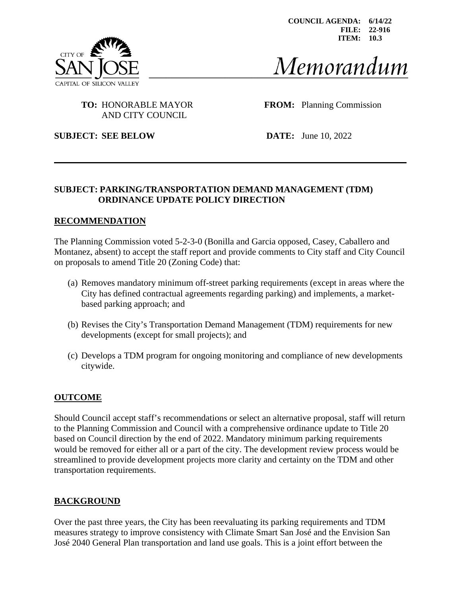

**COUNCIL AGENDA: 6/14/22 FILE: 22-916 ITEM: 10.3**

# Memorandum

## AND CITY COUNCIL

**TO:** HONORABLE MAYOR **FROM:** Planning Commission

**SUBJECT: SEE BELOW DATE:** June 10, 2022

#### **SUBJECT: PARKING/TRANSPORTATION DEMAND MANAGEMENT (TDM) ORDINANCE UPDATE POLICY DIRECTION**

#### **RECOMMENDATION**

The Planning Commission voted 5-2-3-0 (Bonilla and Garcia opposed, Casey, Caballero and Montanez, absent) to accept the staff report and provide comments to City staff and City Council on proposals to amend Title 20 (Zoning Code) that:

- (a) Removes mandatory minimum off-street parking requirements (except in areas where the City has defined contractual agreements regarding parking) and implements, a marketbased parking approach; and
- (b) Revises the City's Transportation Demand Management (TDM) requirements for new developments (except for small projects); and
- (c) Develops a TDM program for ongoing monitoring and compliance of new developments citywide.

#### **OUTCOME**

Should Council accept staff's recommendations or select an alternative proposal, staff will return to the Planning Commission and Council with a comprehensive ordinance update to Title 20 based on Council direction by the end of 2022. Mandatory minimum parking requirements would be removed for either all or a part of the city. The development review process would be streamlined to provide development projects more clarity and certainty on the TDM and other transportation requirements.

#### **BACKGROUND**

Over the past three years, the City has been reevaluating its parking requirements and TDM measures strategy to improve consistency with Climate Smart San José and the Envision San José 2040 General Plan transportation and land use goals. This is a joint effort between the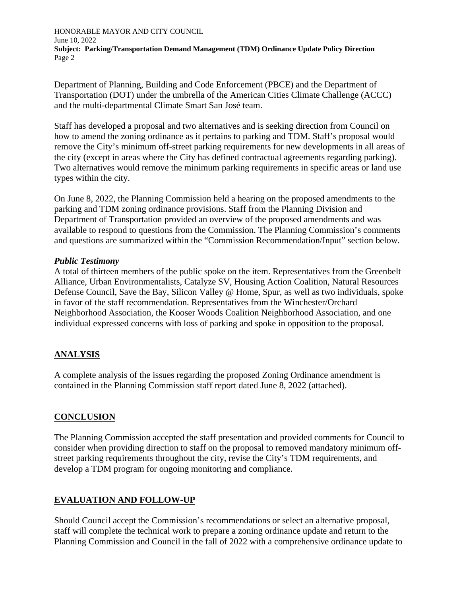Department of Planning, Building and Code Enforcement (PBCE) and the Department of Transportation (DOT) under the umbrella of the American Cities Climate Challenge (ACCC) and the multi-departmental Climate Smart San José team.

Staff has developed a proposal and two alternatives and is seeking direction from Council on how to amend the zoning ordinance as it pertains to parking and TDM. Staff's proposal would remove the City's minimum off-street parking requirements for new developments in all areas of the city (except in areas where the City has defined contractual agreements regarding parking). Two alternatives would remove the minimum parking requirements in specific areas or land use types within the city.

On June 8, 2022, the Planning Commission held a hearing on the proposed amendments to the parking and TDM zoning ordinance provisions. Staff from the Planning Division and Department of Transportation provided an overview of the proposed amendments and was available to respond to questions from the Commission. The Planning Commission's comments and questions are summarized within the "Commission Recommendation/Input" section below.

#### *Public Testimony*

A total of thirteen members of the public spoke on the item. Representatives from the Greenbelt Alliance, Urban Environmentalists, Catalyze SV, Housing Action Coalition, Natural Resources Defense Council, Save the Bay, Silicon Valley @ Home, Spur, as well as two individuals, spoke in favor of the staff recommendation. Representatives from the Winchester/Orchard Neighborhood Association, the Kooser Woods Coalition Neighborhood Association, and one individual expressed concerns with loss of parking and spoke in opposition to the proposal.

#### **ANALYSIS**

A complete analysis of the issues regarding the proposed Zoning Ordinance amendment is contained in the Planning Commission staff report dated June 8, 2022 (attached).

#### **CONCLUSION**

The Planning Commission accepted the staff presentation and provided comments for Council to consider when providing direction to staff on the proposal to removed mandatory minimum offstreet parking requirements throughout the city, revise the City's TDM requirements, and develop a TDM program for ongoing monitoring and compliance.

#### **EVALUATION AND FOLLOW-UP**

Should Council accept the Commission's recommendations or select an alternative proposal, staff will complete the technical work to prepare a zoning ordinance update and return to the Planning Commission and Council in the fall of 2022 with a comprehensive ordinance update to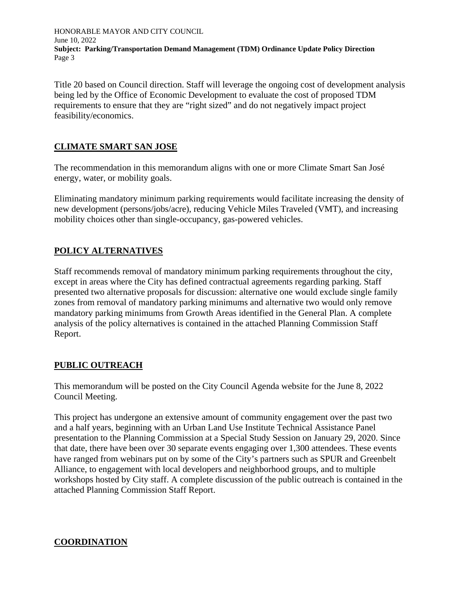Title 20 based on Council direction. Staff will leverage the ongoing cost of development analysis being led by the Office of Economic Development to evaluate the cost of proposed TDM requirements to ensure that they are "right sized" and do not negatively impact project feasibility/economics.

#### **CLIMATE SMART SAN JOSE**

The recommendation in this memorandum aligns with one or more Climate Smart San José energy, water, or mobility goals.

Eliminating mandatory minimum parking requirements would facilitate increasing the density of new development (persons/jobs/acre), reducing Vehicle Miles Traveled (VMT), and increasing mobility choices other than single-occupancy, gas-powered vehicles.

#### **POLICY ALTERNATIVES**

Staff recommends removal of mandatory minimum parking requirements throughout the city, except in areas where the City has defined contractual agreements regarding parking. Staff presented two alternative proposals for discussion: alternative one would exclude single family zones from removal of mandatory parking minimums and alternative two would only remove mandatory parking minimums from Growth Areas identified in the General Plan. A complete analysis of the policy alternatives is contained in the attached Planning Commission Staff Report.

#### **PUBLIC OUTREACH**

This memorandum will be posted on the City Council Agenda website for the June 8, 2022 Council Meeting.

This project has undergone an extensive amount of community engagement over the past two and a half years, beginning with an Urban Land Use Institute Technical Assistance Panel presentation to the Planning Commission at a Special Study Session on January 29, 2020. Since that date, there have been over 30 separate events engaging over 1,300 attendees. These events have ranged from webinars put on by some of the City's partners such as SPUR and Greenbelt Alliance, to engagement with local developers and neighborhood groups, and to multiple workshops hosted by City staff. A complete discussion of the public outreach is contained in the attached Planning Commission Staff Report.

#### **COORDINATION**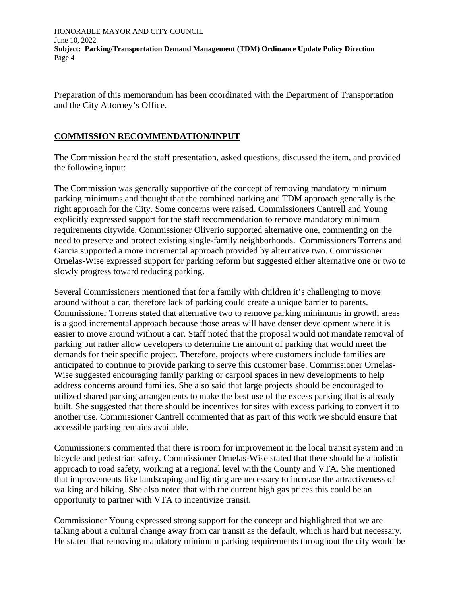Preparation of this memorandum has been coordinated with the Department of Transportation and the City Attorney's Office.

#### **COMMISSION RECOMMENDATION/INPUT**

The Commission heard the staff presentation, asked questions, discussed the item, and provided the following input:

The Commission was generally supportive of the concept of removing mandatory minimum parking minimums and thought that the combined parking and TDM approach generally is the right approach for the City. Some concerns were raised. Commissioners Cantrell and Young explicitly expressed support for the staff recommendation to remove mandatory minimum requirements citywide. Commissioner Oliverio supported alternative one, commenting on the need to preserve and protect existing single-family neighborhoods. Commissioners Torrens and Garcia supported a more incremental approach provided by alternative two. Commissioner Ornelas-Wise expressed support for parking reform but suggested either alternative one or two to slowly progress toward reducing parking.

Several Commissioners mentioned that for a family with children it's challenging to move around without a car, therefore lack of parking could create a unique barrier to parents. Commissioner Torrens stated that alternative two to remove parking minimums in growth areas is a good incremental approach because those areas will have denser development where it is easier to move around without a car. Staff noted that the proposal would not mandate removal of parking but rather allow developers to determine the amount of parking that would meet the demands for their specific project. Therefore, projects where customers include families are anticipated to continue to provide parking to serve this customer base. Commissioner Ornelas-Wise suggested encouraging family parking or carpool spaces in new developments to help address concerns around families. She also said that large projects should be encouraged to utilized shared parking arrangements to make the best use of the excess parking that is already built. She suggested that there should be incentives for sites with excess parking to convert it to another use. Commissioner Cantrell commented that as part of this work we should ensure that accessible parking remains available.

Commissioners commented that there is room for improvement in the local transit system and in bicycle and pedestrian safety. Commissioner Ornelas-Wise stated that there should be a holistic approach to road safety, working at a regional level with the County and VTA. She mentioned that improvements like landscaping and lighting are necessary to increase the attractiveness of walking and biking. She also noted that with the current high gas prices this could be an opportunity to partner with VTA to incentivize transit.

Commissioner Young expressed strong support for the concept and highlighted that we are talking about a cultural change away from car transit as the default, which is hard but necessary. He stated that removing mandatory minimum parking requirements throughout the city would be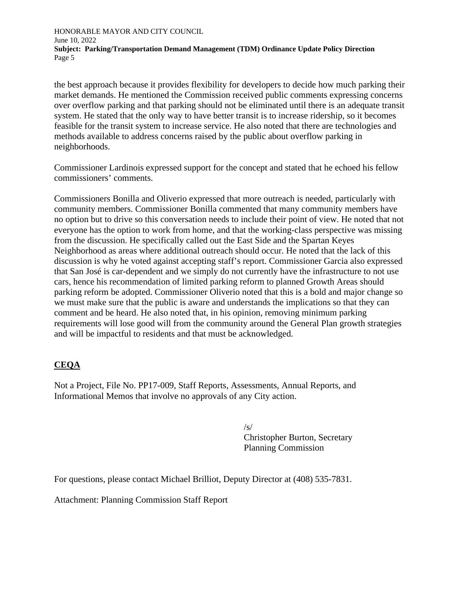the best approach because it provides flexibility for developers to decide how much parking their market demands. He mentioned the Commission received public comments expressing concerns over overflow parking and that parking should not be eliminated until there is an adequate transit system. He stated that the only way to have better transit is to increase ridership, so it becomes feasible for the transit system to increase service. He also noted that there are technologies and methods available to address concerns raised by the public about overflow parking in neighborhoods.

Commissioner Lardinois expressed support for the concept and stated that he echoed his fellow commissioners' comments.

Commissioners Bonilla and Oliverio expressed that more outreach is needed, particularly with community members. Commissioner Bonilla commented that many community members have no option but to drive so this conversation needs to include their point of view. He noted that not everyone has the option to work from home, and that the working-class perspective was missing from the discussion. He specifically called out the East Side and the Spartan Keyes Neighborhood as areas where additional outreach should occur. He noted that the lack of this discussion is why he voted against accepting staff's report. Commissioner Garcia also expressed that San José is car-dependent and we simply do not currently have the infrastructure to not use cars, hence his recommendation of limited parking reform to planned Growth Areas should parking reform be adopted. Commissioner Oliverio noted that this is a bold and major change so we must make sure that the public is aware and understands the implications so that they can comment and be heard. He also noted that, in his opinion, removing minimum parking requirements will lose good will from the community around the General Plan growth strategies and will be impactful to residents and that must be acknowledged.

#### **CEQA**

Not a Project, File No. PP17-009, Staff Reports, Assessments, Annual Reports, and Informational Memos that involve no approvals of any City action.

 $\sqrt{s}$ /s/ Christopher Burton, Secretary Planning Commission

For questions, please contact Michael Brilliot, Deputy Director at (408) 535-7831.

Attachment: Planning Commission Staff Report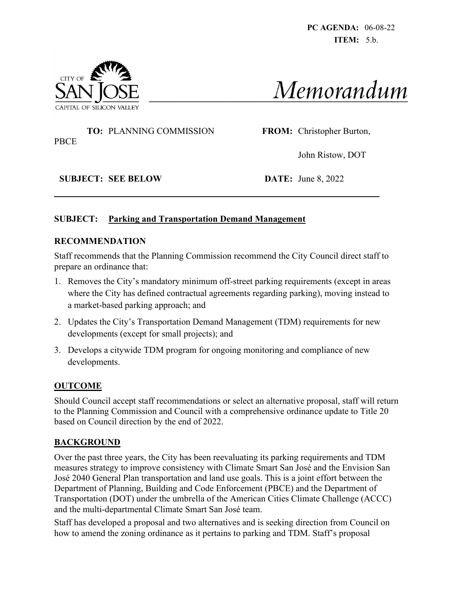**PC AGENDA:** 06-08-22 **ITEM:** 5.b.





#### **TO:** PLANNING COMMISSION **FROM:** Christopher Burton, PBCE

John Ristow, DOT

**SUBJECT: SEE BELOW DATE:** June 8, 2022

#### **SUBJECT: Parking and Transportation Demand Management**

#### **RECOMMENDATION**

Staff recommends that the Planning Commission recommend the City Council direct staff to prepare an ordinance that:

- 1. Removes the City's mandatory minimum off-street parking requirements (except in areas where the City has defined contractual agreements regarding parking), moving instead to a market-based parking approach; and
- 2. Updates the City's Transportation Demand Management (TDM) requirements for new developments (except for small projects); and
- 3. Develops a citywide TDM program for ongoing monitoring and compliance of new developments.

#### **OUTCOME**

Should Council accept staff recommendations or select an alternative proposal, staff will return to the Planning Commission and Council with a comprehensive ordinance update to Title 20 based on Council direction by the end of 2022.

#### **BACKGROUND**

Over the past three years, the City has been reevaluating its parking requirements and TDM measures strategy to improve consistency with Climate Smart San José and the Envision San José 2040 General Plan transportation and land use goals. This is a joint effort between the Department of Planning, Building and Code Enforcement (PBCE) and the Department of Transportation (DOT) under the umbrella of the American Cities Climate Challenge (ACCC) and the multi-departmental Climate Smart San José team.

Staff has developed a proposal and two alternatives and is seeking direction from Council on how to amend the zoning ordinance as it pertains to parking and TDM. Staff's proposal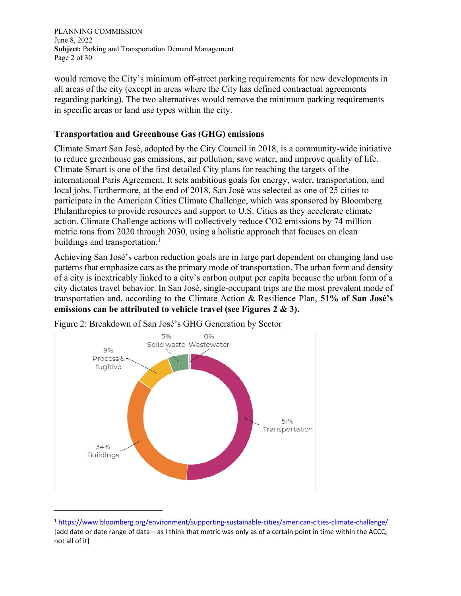PLANNING COMMISSION June 8, 2022 **Subject:** Parking and Transportation Demand Management Page 2 of 30

would remove the City's minimum off-street parking requirements for new developments in all areas of the city (except in areas where the City has defined contractual agreements regarding parking). The two alternatives would remove the minimum parking requirements in specific areas or land use types within the city.

#### **Transportation and Greenhouse Gas (GHG) emissions**

Climate Smart San José, adopted by the City Council in 2018, is a community-wide initiative to reduce greenhouse gas emissions, air pollution, save water, and improve quality of life. Climate Smart is one of the first detailed City plans for reaching the targets of the international Paris Agreement. It sets ambitious goals for energy, water, transportation, and local jobs. Furthermore, at the end of 2018, San José was selected as one of 25 cities to participate in the American Cities Climate Challenge, which was sponsored by Bloomberg Philanthropies to provide resources and support to U.S. Cities as they accelerate climate action. Climate Challenge actions will collectively reduce CO2 emissions by 74 million metric tons from 2020 through 2030, using a holistic approach that focuses on clean buildings and transportation.<sup>1</sup>

Achieving San José's carbon reduction goals are in large part dependent on changing land use patterns that emphasize cars as the primary mode of transportation. The urban form and density of a city is inextricably linked to a city's carbon output per capita because the urban form of a city dictates travel behavior. In San José, single-occupant trips are the most prevalent mode of transportation and, according to the Climate Action & Resilience Plan, **51% of San José's emissions can be attributed to vehicle travel (see Figures 2 & 3).**



Figure 2: Breakdown of San José's GHG Generation by Sector

<sup>1</sup> <https://www.bloomberg.org/environment/supporting-sustainable-cities/american-cities-climate-challenge/> [add date or date range of data – as I think that metric was only as of a certain point in time within the ACCC, not all of it]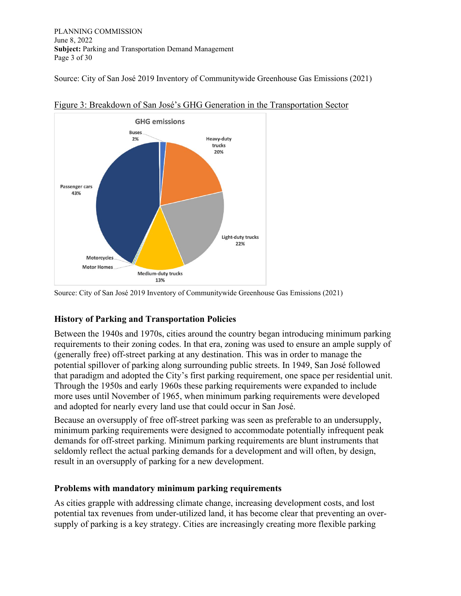PLANNING COMMISSION June 8, 2022 **Subject:** Parking and Transportation Demand Management Page 3 of 30

Source: City of San José 2019 Inventory of Communitywide Greenhouse Gas Emissions (2021)



Figure 3: Breakdown of San José's GHG Generation in the Transportation Sector

Source: City of San José 2019 Inventory of Communitywide Greenhouse Gas Emissions (2021)

#### **History of Parking and Transportation Policies**

Between the 1940s and 1970s, cities around the country began introducing minimum parking requirements to their zoning codes. In that era, zoning was used to ensure an ample supply of (generally free) off-street parking at any destination. This was in order to manage the potential spillover of parking along surrounding public streets. In 1949, San José followed that paradigm and adopted the City's first parking requirement, one space per residential unit. Through the 1950s and early 1960s these parking requirements were expanded to include more uses until November of 1965, when minimum parking requirements were developed and adopted for nearly every land use that could occur in San José.

Because an oversupply of free off-street parking was seen as preferable to an undersupply, minimum parking requirements were designed to accommodate potentially infrequent peak demands for off-street parking. Minimum parking requirements are blunt instruments that seldomly reflect the actual parking demands for a development and will often, by design, result in an oversupply of parking for a new development.

#### **Problems with mandatory minimum parking requirements**

As cities grapple with addressing climate change, increasing development costs, and lost potential tax revenues from under-utilized land, it has become clear that preventing an oversupply of parking is a key strategy. Cities are increasingly creating more flexible parking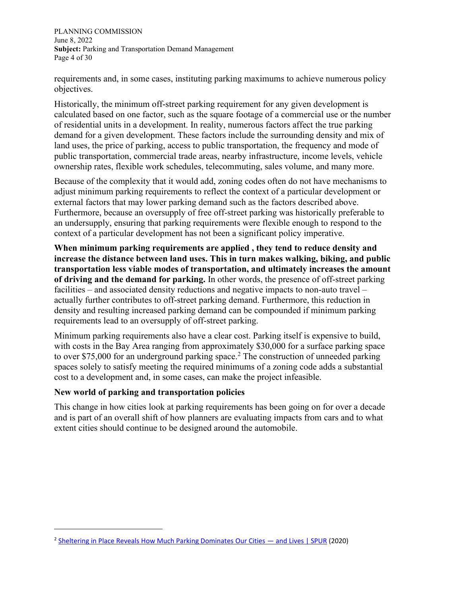PLANNING COMMISSION June 8, 2022 **Subject:** Parking and Transportation Demand Management Page 4 of 30

requirements and, in some cases, instituting parking maximums to achieve numerous policy objectives.

Historically, the minimum off-street parking requirement for any given development is calculated based on one factor, such as the square footage of a commercial use or the number of residential units in a development. In reality, numerous factors affect the true parking demand for a given development. These factors include the surrounding density and mix of land uses, the price of parking, access to public transportation, the frequency and mode of public transportation, commercial trade areas, nearby infrastructure, income levels, vehicle ownership rates, flexible work schedules, telecommuting, sales volume, and many more.

Because of the complexity that it would add, zoning codes often do not have mechanisms to adjust minimum parking requirements to reflect the context of a particular development or external factors that may lower parking demand such as the factors described above. Furthermore, because an oversupply of free off-street parking was historically preferable to an undersupply, ensuring that parking requirements were flexible enough to respond to the context of a particular development has not been a significant policy imperative.

**When minimum parking requirements are applied , they tend to reduce density and increase the distance between land uses. This in turn makes walking, biking, and public transportation less viable modes of transportation, and ultimately increases the amount of driving and the demand for parking.** In other words, the presence of off-street parking facilities – and associated density reductions and negative impacts to non-auto travel – actually further contributes to off-street parking demand. Furthermore, this reduction in density and resulting increased parking demand can be compounded if minimum parking requirements lead to an oversupply of off-street parking.

Minimum parking requirements also have a clear cost. Parking itself is expensive to build, with costs in the Bay Area ranging from approximately \$30,000 for a surface parking space to over \$75,000 for an underground parking space.<sup>2</sup> The construction of unneeded parking spaces solely to satisfy meeting the required minimums of a zoning code adds a substantial cost to a development and, in some cases, can make the project infeasible.

#### **New world of parking and transportation policies**

This change in how cities look at parking requirements has been going on for over a decade and is part of an overall shift of how planners are evaluating impacts from cars and to what extent cities should continue to be designed around the automobile.

<sup>&</sup>lt;sup>2</sup> [Sheltering in Place Reveals How Much Parking Dominates Our Cities](https://www.spur.org/news/2020-04-27/sheltering-place-reveals-how-much-parking-dominates-our-cities-and-lives) — and Lives | SPUR (2020)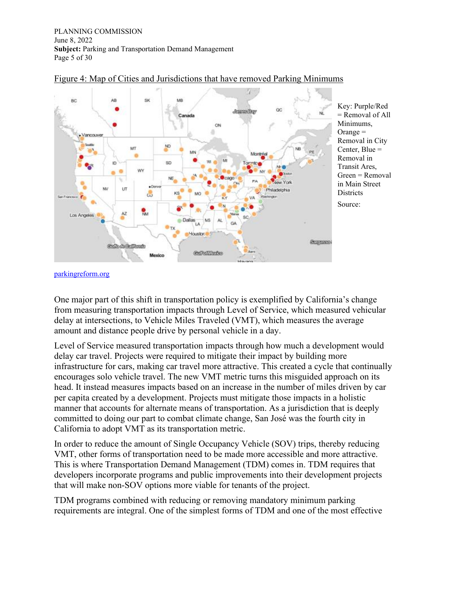PLANNING COMMISSION June 8, 2022 **Subject:** Parking and Transportation Demand Management Page 5 of 30



#### Figure 4: Map of Cities and Jurisdictions that have removed Parking Minimums

[parkingreform.org](https://sanjoseca-my.sharepoint.com/personal/martina_davis_sanjoseca_gov/Documents/parkingreform.org)

One major part of this shift in transportation policy is exemplified by California's change from measuring transportation impacts through Level of Service, which measured vehicular delay at intersections, to Vehicle Miles Traveled (VMT), which measures the average amount and distance people drive by personal vehicle in a day.

Level of Service measured transportation impacts through how much a development would delay car travel. Projects were required to mitigate their impact by building more infrastructure for cars, making car travel more attractive. This created a cycle that continually encourages solo vehicle travel. The new VMT metric turns this misguided approach on its head. It instead measures impacts based on an increase in the number of miles driven by car per capita created by a development. Projects must mitigate those impacts in a holistic manner that accounts for alternate means of transportation. As a jurisdiction that is deeply committed to doing our part to combat climate change, San José was the fourth city in California to adopt VMT as its transportation metric.

In order to reduce the amount of Single Occupancy Vehicle (SOV) trips, thereby reducing VMT, other forms of transportation need to be made more accessible and more attractive. This is where Transportation Demand Management (TDM) comes in. TDM requires that developers incorporate programs and public improvements into their development projects that will make non-SOV options more viable for tenants of the project.

TDM programs combined with reducing or removing mandatory minimum parking requirements are integral. One of the simplest forms of TDM and one of the most effective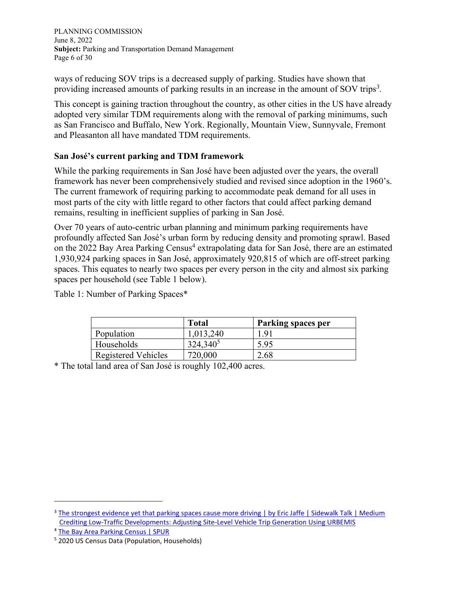PLANNING COMMISSION June 8, 2022 **Subject:** Parking and Transportation Demand Management Page 6 of 30

ways of reducing SOV trips is a decreased supply of parking. Studies have shown that providing increased amounts of parking results in an increase in the amount of SOV trips*<sup>3</sup>* .

This concept is gaining traction throughout the country, as other cities in the US have already adopted very similar TDM requirements along with the removal of parking minimums, such as San Francisco and Buffalo, New York. Regionally, Mountain View, Sunnyvale, Fremont and Pleasanton all have mandated TDM requirements.

#### **San José's current parking and TDM framework**

While the parking requirements in San José have been adjusted over the years, the overall framework has never been comprehensively studied and revised since adoption in the 1960's. The current framework of requiring parking to accommodate peak demand for all uses in most parts of the city with little regard to other factors that could affect parking demand remains, resulting in inefficient supplies of parking in San José.

Over 70 years of auto-centric urban planning and minimum parking requirements have profoundly affected San José's urban form by reducing density and promoting sprawl. Based on the 2022 Bay Area Parking Census<sup>4</sup> extrapolating data for San José, there are an estimated 1,930,924 parking spaces in San José, approximately 920,815 of which are off-street parking spaces. This equates to nearly two spaces per every person in the city and almost six parking spaces per household (see Table 1 below).

|                            | <b>Total</b>         | <b>Parking spaces per</b> |
|----------------------------|----------------------|---------------------------|
| Population                 | 1,013,240            | 1.91                      |
| Households                 | 324,340 <sup>5</sup> | 5.95                      |
| <b>Registered Vehicles</b> | 720,000              | 2.68                      |

Table 1: Number of Parking Spaces\*

\* The total land area of San José is roughly 102,400 acres.

<sup>&</sup>lt;sup>3</sup> [The strongest evidence yet that parking spaces cause more driving | by Eric Jaffe | Sidewalk Talk | Medium](https://medium.com/sidewalk-talk/the-strongest-evidence-yet-that-parking-spaces-cause-more-driving-fb530aec9165) [Crediting Low-Traffic Developments: Adjusting Site-Level Vehicle Trip Generation Using URBEMIS](https://montgomeryplanning.org/transportation/documents/TripGenerationAnalysisUsingURBEMIS.pdf)

<sup>4</sup> [The Bay Area Parking Census | SPUR](https://www.spur.org/publications/spur-report/2022-02-28/bay-area-parking-census)

<sup>5</sup> 2020 US Census Data (Population, Households)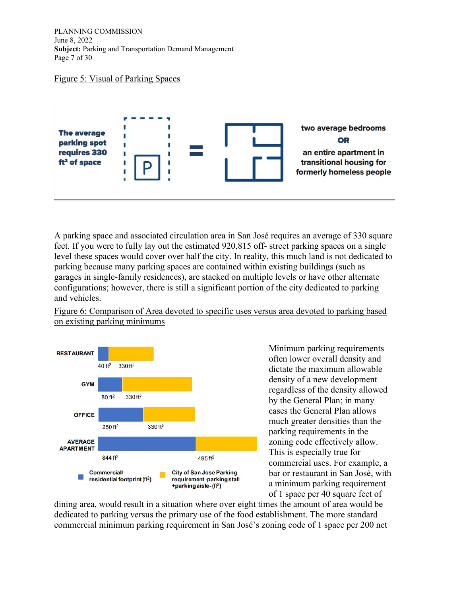PLANNING COMMISSION June 8, 2022 **Subject:** Parking and Transportation Demand Management Page 7 of 30

#### Figure 5: Visual of Parking Spaces



A parking space and associated circulation area in San José requires an average of 330 square feet. If you were to fully lay out the estimated 920,815 off- street parking spaces on a single level these spaces would cover over half the city. In reality, this much land is not dedicated to parking because many parking spaces are contained within existing buildings (such as garages in single-family residences), are stacked on multiple levels or have other alternate configurations; however, there is still a significant portion of the city dedicated to parking and vehicles.

Figure 6: Comparison of Area devoted to specific uses versus area devoted to parking based on existing parking minimums



Minimum parking requirements often lower overall density and dictate the maximum allowable density of a new development regardless of the density allowed by the General Plan; in many cases the General Plan allows much greater densities than the parking requirements in the zoning code effectively allow. This is especially true for commercial uses. For example, a bar or restaurant in San José, with a minimum parking requirement of 1 space per 40 square feet of

dining area, would result in a situation where over eight times the amount of area would be dedicated to parking versus the primary use of the food establishment. The more standard commercial minimum parking requirement in San José's zoning code of 1 space per 200 net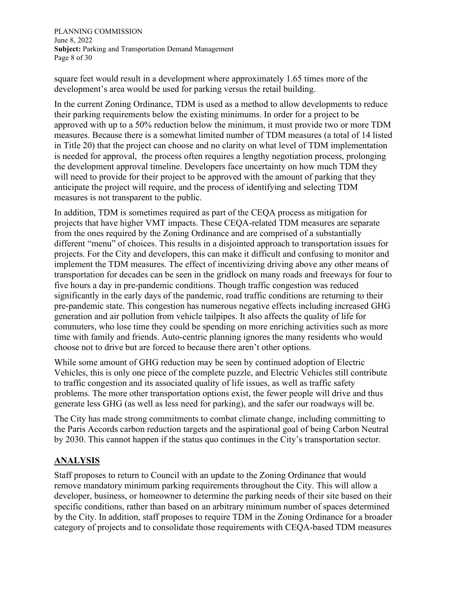PLANNING COMMISSION June 8, 2022 **Subject:** Parking and Transportation Demand Management Page 8 of 30

square feet would result in a development where approximately 1.65 times more of the development's area would be used for parking versus the retail building.

In the current Zoning Ordinance, TDM is used as a method to allow developments to reduce their parking requirements below the existing minimums. In order for a project to be approved with up to a 50% reduction below the minimum, it must provide two or more TDM measures. Because there is a somewhat limited number of TDM measures (a total of 14 listed in Title 20) that the project can choose and no clarity on what level of TDM implementation is needed for approval, the process often requires a lengthy negotiation process, prolonging the development approval timeline. Developers face uncertainty on how much TDM they will need to provide for their project to be approved with the amount of parking that they anticipate the project will require, and the process of identifying and selecting TDM measures is not transparent to the public.

In addition, TDM is sometimes required as part of the CEQA process as mitigation for projects that have higher VMT impacts. These CEQA-related TDM measures are separate from the ones required by the Zoning Ordinance and are comprised of a substantially different "menu" of choices. This results in a disjointed approach to transportation issues for projects. For the City and developers, this can make it difficult and confusing to monitor and implement the TDM measures. The effect of incentivizing driving above any other means of transportation for decades can be seen in the gridlock on many roads and freeways for four to five hours a day in pre-pandemic conditions. Though traffic congestion was reduced significantly in the early days of the pandemic, road traffic conditions are returning to their pre-pandemic state. This congestion has numerous negative effects including increased GHG generation and air pollution from vehicle tailpipes. It also affects the quality of life for commuters, who lose time they could be spending on more enriching activities such as more time with family and friends. Auto-centric planning ignores the many residents who would choose not to drive but are forced to because there aren't other options.

While some amount of GHG reduction may be seen by continued adoption of Electric Vehicles, this is only one piece of the complete puzzle, and Electric Vehicles still contribute to traffic congestion and its associated quality of life issues, as well as traffic safety problems. The more other transportation options exist, the fewer people will drive and thus generate less GHG (as well as less need for parking), and the safer our roadways will be.

The City has made strong commitments to combat climate change, including committing to the Paris Accords carbon reduction targets and the aspirational goal of being Carbon Neutral by 2030. This cannot happen if the status quo continues in the City's transportation sector.

#### **ANALYSIS**

Staff proposes to return to Council with an update to the Zoning Ordinance that would remove mandatory minimum parking requirements throughout the City. This will allow a developer, business, or homeowner to determine the parking needs of their site based on their specific conditions, rather than based on an arbitrary minimum number of spaces determined by the City. In addition, staff proposes to require TDM in the Zoning Ordinance for a broader category of projects and to consolidate those requirements with CEQA-based TDM measures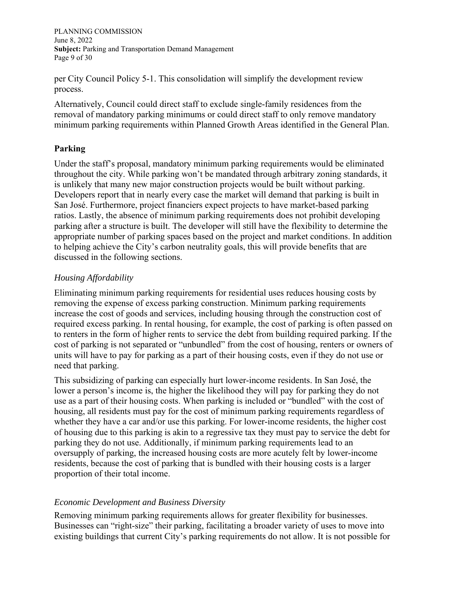PLANNING COMMISSION June 8, 2022 **Subject:** Parking and Transportation Demand Management Page 9 of 30

per City Council Policy 5-1. This consolidation will simplify the development review process.

Alternatively, Council could direct staff to exclude single-family residences from the removal of mandatory parking minimums or could direct staff to only remove mandatory minimum parking requirements within Planned Growth Areas identified in the General Plan.

#### **Parking**

Under the staff's proposal, mandatory minimum parking requirements would be eliminated throughout the city. While parking won't be mandated through arbitrary zoning standards, it is unlikely that many new major construction projects would be built without parking. Developers report that in nearly every case the market will demand that parking is built in San José. Furthermore, project financiers expect projects to have market-based parking ratios. Lastly, the absence of minimum parking requirements does not prohibit developing parking after a structure is built. The developer will still have the flexibility to determine the appropriate number of parking spaces based on the project and market conditions. In addition to helping achieve the City's carbon neutrality goals, this will provide benefits that are discussed in the following sections.

#### *Housing Affordability*

Eliminating minimum parking requirements for residential uses reduces housing costs by removing the expense of excess parking construction. Minimum parking requirements increase the cost of goods and services, including housing through the construction cost of required excess parking. In rental housing, for example, the cost of parking is often passed on to renters in the form of higher rents to service the debt from building required parking. If the cost of parking is not separated or "unbundled" from the cost of housing, renters or owners of units will have to pay for parking as a part of their housing costs, even if they do not use or need that parking.

This subsidizing of parking can especially hurt lower-income residents. In San José, the lower a person's income is, the higher the likelihood they will pay for parking they do not use as a part of their housing costs. When parking is included or "bundled" with the cost of housing, all residents must pay for the cost of minimum parking requirements regardless of whether they have a car and/or use this parking. For lower-income residents, the higher cost of housing due to this parking is akin to a regressive tax they must pay to service the debt for parking they do not use. Additionally, if minimum parking requirements lead to an oversupply of parking, the increased housing costs are more acutely felt by lower-income residents, because the cost of parking that is bundled with their housing costs is a larger proportion of their total income.

#### *Economic Development and Business Diversity*

Removing minimum parking requirements allows for greater flexibility for businesses. Businesses can "right-size" their parking, facilitating a broader variety of uses to move into existing buildings that current City's parking requirements do not allow. It is not possible for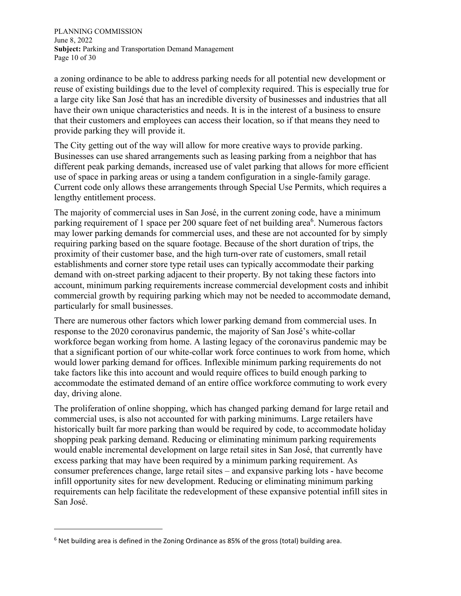PLANNING COMMISSION June 8, 2022 **Subject:** Parking and Transportation Demand Management Page 10 of 30

a zoning ordinance to be able to address parking needs for all potential new development or reuse of existing buildings due to the level of complexity required. This is especially true for a large city like San José that has an incredible diversity of businesses and industries that all have their own unique characteristics and needs. It is in the interest of a business to ensure that their customers and employees can access their location, so if that means they need to provide parking they will provide it.

The City getting out of the way will allow for more creative ways to provide parking. Businesses can use shared arrangements such as leasing parking from a neighbor that has different peak parking demands, increased use of valet parking that allows for more efficient use of space in parking areas or using a tandem configuration in a single-family garage. Current code only allows these arrangements through Special Use Permits, which requires a lengthy entitlement process.

The majority of commercial uses in San José, in the current zoning code, have a minimum parking requirement of 1 space per 200 square feet of net building area<sup>6</sup>. Numerous factors may lower parking demands for commercial uses, and these are not accounted for by simply requiring parking based on the square footage. Because of the short duration of trips, the proximity of their customer base, and the high turn-over rate of customers, small retail establishments and corner store type retail uses can typically accommodate their parking demand with on-street parking adjacent to their property. By not taking these factors into account, minimum parking requirements increase commercial development costs and inhibit commercial growth by requiring parking which may not be needed to accommodate demand, particularly for small businesses.

There are numerous other factors which lower parking demand from commercial uses. In response to the 2020 coronavirus pandemic, the majority of San José's white-collar workforce began working from home. A lasting legacy of the coronavirus pandemic may be that a significant portion of our white-collar work force continues to work from home, which would lower parking demand for offices. Inflexible minimum parking requirements do not take factors like this into account and would require offices to build enough parking to accommodate the estimated demand of an entire office workforce commuting to work every day, driving alone.

The proliferation of online shopping, which has changed parking demand for large retail and commercial uses, is also not accounted for with parking minimums. Large retailers have historically built far more parking than would be required by code, to accommodate holiday shopping peak parking demand. Reducing or eliminating minimum parking requirements would enable incremental development on large retail sites in San José, that currently have excess parking that may have been required by a minimum parking requirement. As consumer preferences change, large retail sites – and expansive parking lots - have become infill opportunity sites for new development. Reducing or eliminating minimum parking requirements can help facilitate the redevelopment of these expansive potential infill sites in San José.

<sup>&</sup>lt;sup>6</sup> Net building area is defined in the Zoning Ordinance as 85% of the gross (total) building area.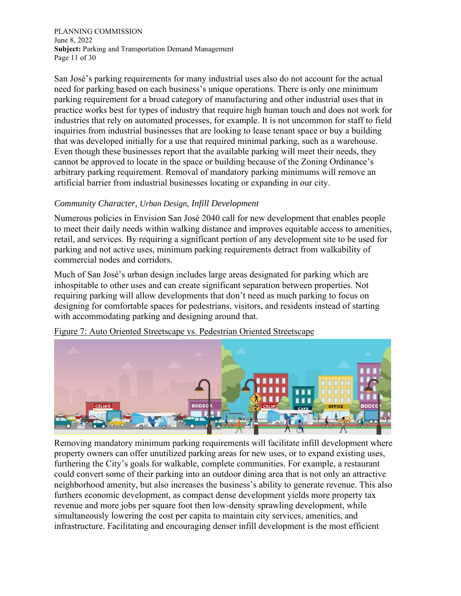PLANNING COMMISSION June 8, 2022 **Subject:** Parking and Transportation Demand Management Page 11 of 30

San José's parking requirements for many industrial uses also do not account for the actual need for parking based on each business's unique operations. There is only one minimum parking requirement for a broad category of manufacturing and other industrial uses that in practice works best for types of industry that require high human touch and does not work for industries that rely on automated processes, for example. It is not uncommon for staff to field inquiries from industrial businesses that are looking to lease tenant space or buy a building that was developed initially for a use that required minimal parking, such as a warehouse. Even though these businesses report that the available parking will meet their needs, they cannot be approved to locate in the space or building because of the Zoning Ordinance's arbitrary parking requirement. Removal of mandatory parking minimums will remove an artificial barrier from industrial businesses locating or expanding in our city.

#### *Community Character, Urban Design, Infill Development*

Numerous policies in Envision San José 2040 call for new development that enables people to meet their daily needs within walking distance and improves equitable access to amenities, retail, and services. By requiring a significant portion of any development site to be used for parking and not active uses, minimum parking requirements detract from walkability of commercial nodes and corridors.

Much of San José's urban design includes large areas designated for parking which are inhospitable to other uses and can create significant separation between properties. Not requiring parking will allow developments that don't need as much parking to focus on designing for comfortable spaces for pedestrians, visitors, and residents instead of starting with accommodating parking and designing around that.



Figure 7: Auto Oriented Streetscape vs. Pedestrian Oriented Streetscape

Removing mandatory minimum parking requirements will facilitate infill development where property owners can offer unutilized parking areas for new uses, or to expand existing uses, furthering the City's goals for walkable, complete communities. For example, a restaurant could convert some of their parking into an outdoor dining area that is not only an attractive neighborhood amenity, but also increases the business's ability to generate revenue. This also furthers economic development, as compact dense development yields more property tax revenue and more jobs per square foot then low-density sprawling development, while simultaneously lowering the cost per capita to maintain city services, amenities, and infrastructure. Facilitating and encouraging denser infill development is the most efficient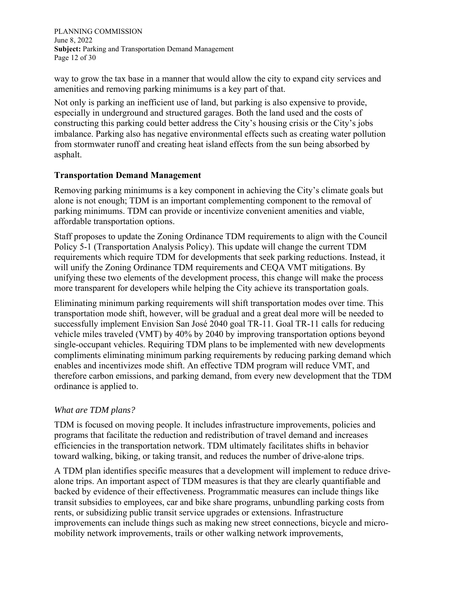PLANNING COMMISSION June 8, 2022 **Subject:** Parking and Transportation Demand Management Page 12 of 30

way to grow the tax base in a manner that would allow the city to expand city services and amenities and removing parking minimums is a key part of that.

Not only is parking an inefficient use of land, but parking is also expensive to provide, especially in underground and structured garages. Both the land used and the costs of constructing this parking could better address the City's housing crisis or the City's jobs imbalance. Parking also has negative environmental effects such as creating water pollution from stormwater runoff and creating heat island effects from the sun being absorbed by asphalt.

#### **Transportation Demand Management**

Removing parking minimums is a key component in achieving the City's climate goals but alone is not enough; TDM is an important complementing component to the removal of parking minimums. TDM can provide or incentivize convenient amenities and viable, affordable transportation options.

Staff proposes to update the Zoning Ordinance TDM requirements to align with the Council Policy 5-1 (Transportation Analysis Policy). This update will change the current TDM requirements which require TDM for developments that seek parking reductions. Instead, it will unify the Zoning Ordinance TDM requirements and CEQA VMT mitigations. By unifying these two elements of the development process, this change will make the process more transparent for developers while helping the City achieve its transportation goals.

Eliminating minimum parking requirements will shift transportation modes over time. This transportation mode shift, however, will be gradual and a great deal more will be needed to successfully implement Envision San José 2040 goal TR-11. Goal TR-11 calls for reducing vehicle miles traveled (VMT) by 40% by 2040 by improving transportation options beyond single-occupant vehicles. Requiring TDM plans to be implemented with new developments compliments eliminating minimum parking requirements by reducing parking demand which enables and incentivizes mode shift. An effective TDM program will reduce VMT, and therefore carbon emissions, and parking demand, from every new development that the TDM ordinance is applied to.

#### *What are TDM plans?*

TDM is focused on moving people. It includes infrastructure improvements, policies and programs that facilitate the reduction and redistribution of travel demand and increases efficiencies in the transportation network. TDM ultimately facilitates shifts in behavior toward walking, biking, or taking transit, and reduces the number of drive-alone trips.

A TDM plan identifies specific measures that a development will implement to reduce drivealone trips. An important aspect of TDM measures is that they are clearly quantifiable and backed by evidence of their effectiveness. Programmatic measures can include things like transit subsidies to employees, car and bike share programs, unbundling parking costs from rents, or subsidizing public transit service upgrades or extensions. Infrastructure improvements can include things such as making new street connections, bicycle and micromobility network improvements, trails or other walking network improvements,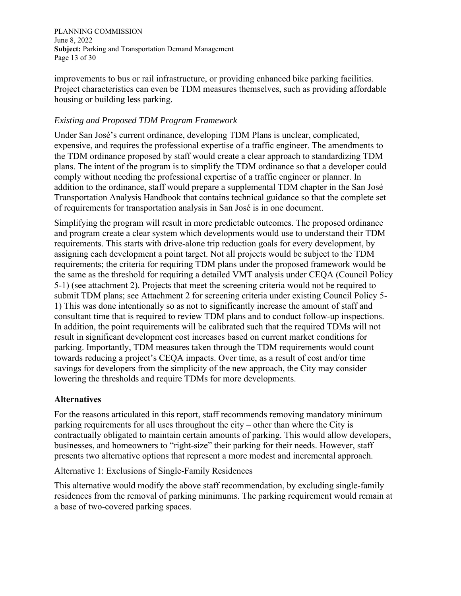PLANNING COMMISSION June 8, 2022 **Subject:** Parking and Transportation Demand Management Page 13 of 30

improvements to bus or rail infrastructure, or providing enhanced bike parking facilities. Project characteristics can even be TDM measures themselves, such as providing affordable housing or building less parking.

#### *Existing and Proposed TDM Program Framework*

Under San José's current ordinance, developing TDM Plans is unclear, complicated, expensive, and requires the professional expertise of a traffic engineer. The amendments to the TDM ordinance proposed by staff would create a clear approach to standardizing TDM plans. The intent of the program is to simplify the TDM ordinance so that a developer could comply without needing the professional expertise of a traffic engineer or planner. In addition to the ordinance, staff would prepare a supplemental TDM chapter in the San José Transportation Analysis Handbook that contains technical guidance so that the complete set of requirements for transportation analysis in San José is in one document.

Simplifying the program will result in more predictable outcomes. The proposed ordinance and program create a clear system which developments would use to understand their TDM requirements. This starts with drive-alone trip reduction goals for every development, by assigning each development a point target. Not all projects would be subject to the TDM requirements; the criteria for requiring TDM plans under the proposed framework would be the same as the threshold for requiring a detailed VMT analysis under CEQA (Council Policy 5-1) (see attachment 2). Projects that meet the screening criteria would not be required to submit TDM plans; see Attachment 2 for screening criteria under existing Council Policy 5- 1) This was done intentionally so as not to significantly increase the amount of staff and consultant time that is required to review TDM plans and to conduct follow-up inspections. In addition, the point requirements will be calibrated such that the required TDMs will not result in significant development cost increases based on current market conditions for parking. Importantly, TDM measures taken through the TDM requirements would count towards reducing a project's CEQA impacts. Over time, as a result of cost and/or time savings for developers from the simplicity of the new approach, the City may consider lowering the thresholds and require TDMs for more developments.

#### **Alternatives**

For the reasons articulated in this report, staff recommends removing mandatory minimum parking requirements for all uses throughout the city – other than where the City is contractually obligated to maintain certain amounts of parking. This would allow developers, businesses, and homeowners to "right-size" their parking for their needs. However, staff presents two alternative options that represent a more modest and incremental approach.

Alternative 1: Exclusions of Single-Family Residences

This alternative would modify the above staff recommendation, by excluding single-family residences from the removal of parking minimums. The parking requirement would remain at a base of two-covered parking spaces.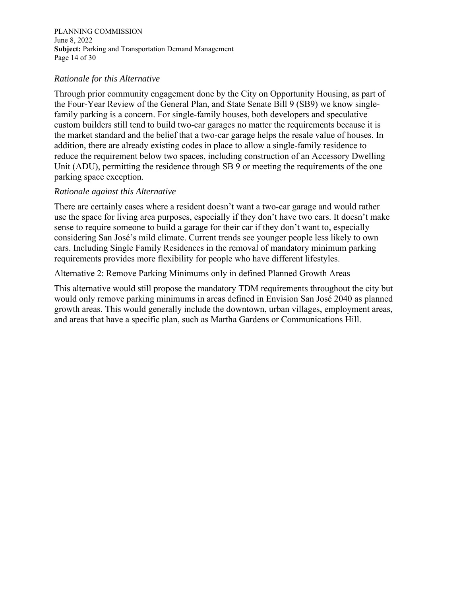PLANNING COMMISSION June 8, 2022 **Subject:** Parking and Transportation Demand Management Page 14 of 30

#### *Rationale for this Alternative*

Through prior community engagement done by the City on Opportunity Housing, as part of the Four-Year Review of the General Plan, and State Senate Bill 9 (SB9) we know singlefamily parking is a concern. For single-family houses, both developers and speculative custom builders still tend to build two-car garages no matter the requirements because it is the market standard and the belief that a two-car garage helps the resale value of houses. In addition, there are already existing codes in place to allow a single-family residence to reduce the requirement below two spaces, including construction of an Accessory Dwelling Unit (ADU), permitting the residence through SB 9 or meeting the requirements of the one parking space exception.

#### *Rationale against this Alternative*

There are certainly cases where a resident doesn't want a two-car garage and would rather use the space for living area purposes, especially if they don't have two cars. It doesn't make sense to require someone to build a garage for their car if they don't want to, especially considering San José's mild climate. Current trends see younger people less likely to own cars. Including Single Family Residences in the removal of mandatory minimum parking requirements provides more flexibility for people who have different lifestyles.

Alternative 2: Remove Parking Minimums only in defined Planned Growth Areas

This alternative would still propose the mandatory TDM requirements throughout the city but would only remove parking minimums in areas defined in Envision San José 2040 as planned growth areas. This would generally include the downtown, urban villages, employment areas, and areas that have a specific plan, such as Martha Gardens or Communications Hill.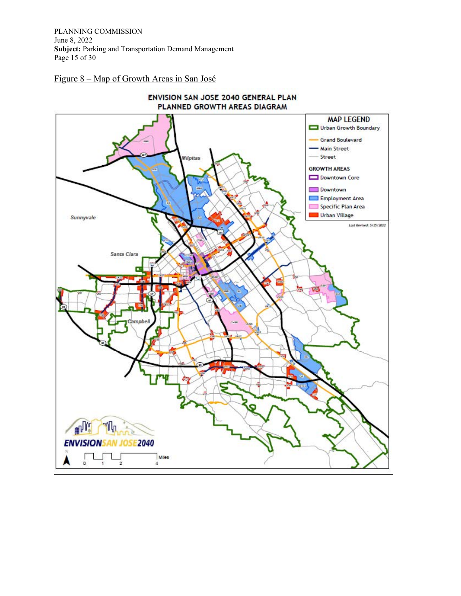PLANNING COMMISSION June 8, 2022 **Subject:** Parking and Transportation Demand Management Page 15 of 30

Figure 8 – Map of Growth Areas in San José

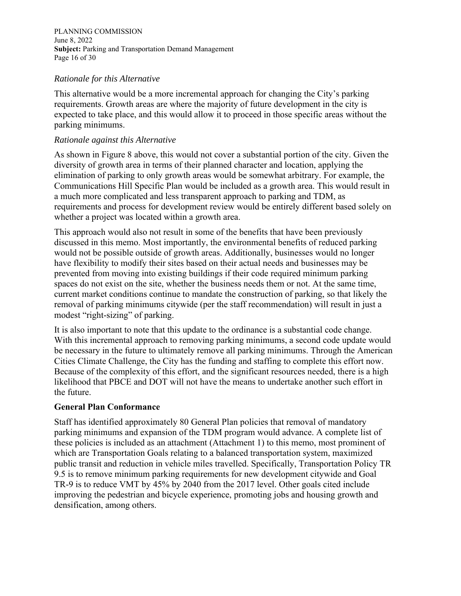PLANNING COMMISSION June 8, 2022 **Subject:** Parking and Transportation Demand Management Page 16 of 30

#### *Rationale for this Alternative*

This alternative would be a more incremental approach for changing the City's parking requirements. Growth areas are where the majority of future development in the city is expected to take place, and this would allow it to proceed in those specific areas without the parking minimums.

#### *Rationale against this Alternative*

As shown in Figure 8 above, this would not cover a substantial portion of the city. Given the diversity of growth area in terms of their planned character and location, applying the elimination of parking to only growth areas would be somewhat arbitrary. For example, the Communications Hill Specific Plan would be included as a growth area. This would result in a much more complicated and less transparent approach to parking and TDM, as requirements and process for development review would be entirely different based solely on whether a project was located within a growth area.

This approach would also not result in some of the benefits that have been previously discussed in this memo. Most importantly, the environmental benefits of reduced parking would not be possible outside of growth areas. Additionally, businesses would no longer have flexibility to modify their sites based on their actual needs and businesses may be prevented from moving into existing buildings if their code required minimum parking spaces do not exist on the site, whether the business needs them or not. At the same time, current market conditions continue to mandate the construction of parking, so that likely the removal of parking minimums citywide (per the staff recommendation) will result in just a modest "right-sizing" of parking.

It is also important to note that this update to the ordinance is a substantial code change. With this incremental approach to removing parking minimums, a second code update would be necessary in the future to ultimately remove all parking minimums. Through the American Cities Climate Challenge, the City has the funding and staffing to complete this effort now. Because of the complexity of this effort, and the significant resources needed, there is a high likelihood that PBCE and DOT will not have the means to undertake another such effort in the future.

#### **General Plan Conformance**

Staff has identified approximately 80 General Plan policies that removal of mandatory parking minimums and expansion of the TDM program would advance. A complete list of these policies is included as an attachment (Attachment 1) to this memo, most prominent of which are Transportation Goals relating to a balanced transportation system, maximized public transit and reduction in vehicle miles travelled. Specifically, Transportation Policy TR 9.5 is to remove minimum parking requirements for new development citywide and Goal TR-9 is to reduce VMT by 45% by 2040 from the 2017 level. Other goals cited include improving the pedestrian and bicycle experience, promoting jobs and housing growth and densification, among others.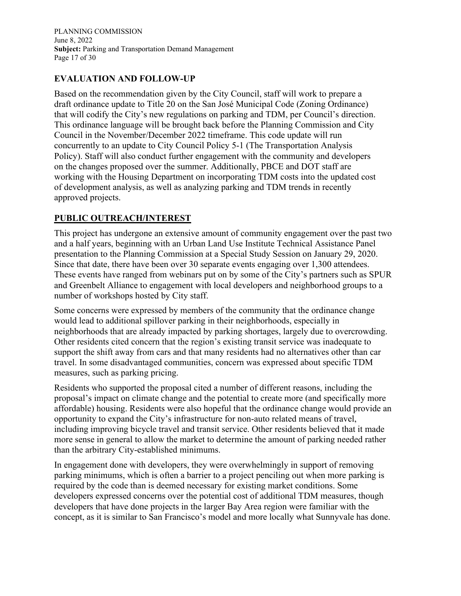PLANNING COMMISSION June 8, 2022 **Subject:** Parking and Transportation Demand Management Page 17 of 30

#### **EVALUATION AND FOLLOW-UP**

Based on the recommendation given by the City Council, staff will work to prepare a draft ordinance update to Title 20 on the San José Municipal Code (Zoning Ordinance) that will codify the City's new regulations on parking and TDM, per Council's direction. This ordinance language will be brought back before the Planning Commission and City Council in the November/December 2022 timeframe. This code update will run concurrently to an update to City Council Policy 5-1 (The Transportation Analysis Policy). Staff will also conduct further engagement with the community and developers on the changes proposed over the summer. Additionally, PBCE and DOT staff are working with the Housing Department on incorporating TDM costs into the updated cost of development analysis, as well as analyzing parking and TDM trends in recently approved projects.

#### **PUBLIC OUTREACH/INTEREST**

This project has undergone an extensive amount of community engagement over the past two and a half years, beginning with an Urban Land Use Institute Technical Assistance Panel presentation to the Planning Commission at a Special Study Session on January 29, 2020. Since that date, there have been over 30 separate events engaging over 1,300 attendees. These events have ranged from webinars put on by some of the City's partners such as SPUR and Greenbelt Alliance to engagement with local developers and neighborhood groups to a number of workshops hosted by City staff.

Some concerns were expressed by members of the community that the ordinance change would lead to additional spillover parking in their neighborhoods, especially in neighborhoods that are already impacted by parking shortages, largely due to overcrowding. Other residents cited concern that the region's existing transit service was inadequate to support the shift away from cars and that many residents had no alternatives other than car travel. In some disadvantaged communities, concern was expressed about specific TDM measures, such as parking pricing.

Residents who supported the proposal cited a number of different reasons, including the proposal's impact on climate change and the potential to create more (and specifically more affordable) housing. Residents were also hopeful that the ordinance change would provide an opportunity to expand the City's infrastructure for non-auto related means of travel, including improving bicycle travel and transit service. Other residents believed that it made more sense in general to allow the market to determine the amount of parking needed rather than the arbitrary City-established minimums.

In engagement done with developers, they were overwhelmingly in support of removing parking minimums, which is often a barrier to a project penciling out when more parking is required by the code than is deemed necessary for existing market conditions. Some developers expressed concerns over the potential cost of additional TDM measures, though developers that have done projects in the larger Bay Area region were familiar with the concept, as it is similar to San Francisco's model and more locally what Sunnyvale has done.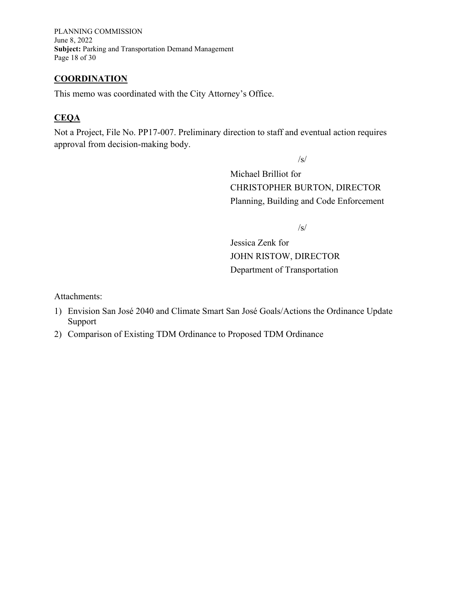PLANNING COMMISSION June 8, 2022 **Subject:** Parking and Transportation Demand Management Page 18 of 30

#### **COORDINATION**

This memo was coordinated with the City Attorney's Office.

#### **CEQA**

Not a Project, File No. PP17-007. Preliminary direction to staff and eventual action requires approval from decision-making body.

/s/

Michael Brilliot for CHRISTOPHER BURTON, DIRECTOR Planning, Building and Code Enforcement

 $/s/$ 

Jessica Zenk for JOHN RISTOW, DIRECTOR Department of Transportation

Attachments:

- 1) Envision San José 2040 and Climate Smart San José Goals/Actions the Ordinance Update Support
- 2) Comparison of Existing TDM Ordinance to Proposed TDM Ordinance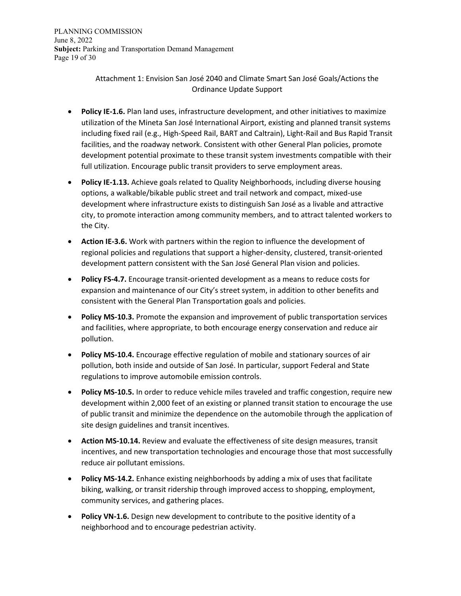Attachment 1: Envision San José 2040 and Climate Smart San José Goals/Actions the Ordinance Update Support

- **Policy IE-1.6.** Plan land uses, infrastructure development, and other initiatives to maximize utilization of the Mineta San José International Airport, existing and planned transit systems including fixed rail (e.g., High-Speed Rail, BART and Caltrain), Light-Rail and Bus Rapid Transit facilities, and the roadway network. Consistent with other General Plan policies, promote development potential proximate to these transit system investments compatible with their full utilization. Encourage public transit providers to serve employment areas.
- **Policy IE-1.13.** Achieve goals related to Quality Neighborhoods, including diverse housing options, a walkable/bikable public street and trail network and compact, mixed-use development where infrastructure exists to distinguish San José as a livable and attractive city, to promote interaction among community members, and to attract talented workers to the City.
- **Action IE-3.6.** Work with partners within the region to influence the development of regional policies and regulations that support a higher-density, clustered, transit-oriented development pattern consistent with the San José General Plan vision and policies.
- **Policy FS-4.7.** Encourage transit-oriented development as a means to reduce costs for expansion and maintenance of our City's street system, in addition to other benefits and consistent with the General Plan Transportation goals and policies.
- **Policy MS-10.3.** Promote the expansion and improvement of public transportation services and facilities, where appropriate, to both encourage energy conservation and reduce air pollution.
- **Policy MS-10.4.** Encourage effective regulation of mobile and stationary sources of air pollution, both inside and outside of San José. In particular, support Federal and State regulations to improve automobile emission controls.
- **Policy MS-10.5.** In order to reduce vehicle miles traveled and traffic congestion, require new development within 2,000 feet of an existing or planned transit station to encourage the use of public transit and minimize the dependence on the automobile through the application of site design guidelines and transit incentives.
- **Action MS-10.14.** Review and evaluate the effectiveness of site design measures, transit incentives, and new transportation technologies and encourage those that most successfully reduce air pollutant emissions.
- **Policy MS-14.2.** Enhance existing neighborhoods by adding a mix of uses that facilitate biking, walking, or transit ridership through improved access to shopping, employment, community services, and gathering places.
- **Policy VN-1.6.** Design new development to contribute to the positive identity of a neighborhood and to encourage pedestrian activity.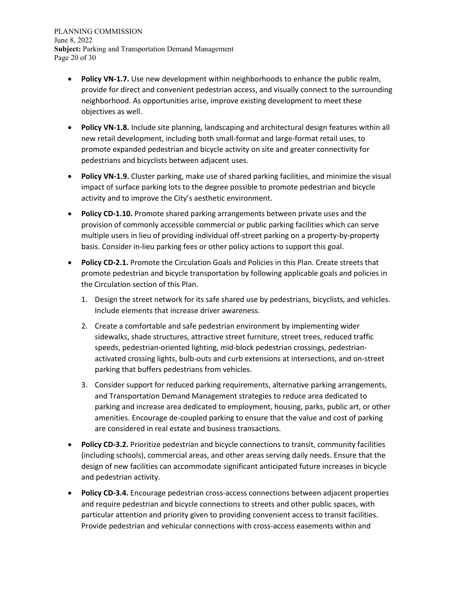PLANNING COMMISSION June 8, 2022 **Subject:** Parking and Transportation Demand Management Page 20 of 30

- **Policy VN-1.7.** Use new development within neighborhoods to enhance the public realm, provide for direct and convenient pedestrian access, and visually connect to the surrounding neighborhood. As opportunities arise, improve existing development to meet these objectives as well.
- **Policy VN-1.8.** Include site planning, landscaping and architectural design features within all new retail development, including both small-format and large-format retail uses, to promote expanded pedestrian and bicycle activity on site and greater connectivity for pedestrians and bicyclists between adjacent uses.
- **Policy VN-1.9.** Cluster parking, make use of shared parking facilities, and minimize the visual impact of surface parking lots to the degree possible to promote pedestrian and bicycle activity and to improve the City's aesthetic environment.
- **Policy CD-1.10.** Promote shared parking arrangements between private uses and the provision of commonly accessible commercial or public parking facilities which can serve multiple users in lieu of providing individual off-street parking on a property-by-property basis. Consider in-lieu parking fees or other policy actions to support this goal.
- **Policy CD-2.1.** Promote the Circulation Goals and Policies in this Plan. Create streets that promote pedestrian and bicycle transportation by following applicable goals and policies in the Circulation section of this Plan.
	- 1. Design the street network for its safe shared use by pedestrians, bicyclists, and vehicles. Include elements that increase driver awareness.
	- 2. Create a comfortable and safe pedestrian environment by implementing wider sidewalks, shade structures, attractive street furniture, street trees, reduced traffic speeds, pedestrian-oriented lighting, mid-block pedestrian crossings, pedestrianactivated crossing lights, bulb-outs and curb extensions at intersections, and on-street parking that buffers pedestrians from vehicles.
	- 3. Consider support for reduced parking requirements, alternative parking arrangements, and Transportation Demand Management strategies to reduce area dedicated to parking and increase area dedicated to employment, housing, parks, public art, or other amenities. Encourage de-coupled parking to ensure that the value and cost of parking are considered in real estate and business transactions.
- **Policy CD-3.2.** Prioritize pedestrian and bicycle connections to transit, community facilities (including schools), commercial areas, and other areas serving daily needs. Ensure that the design of new facilities can accommodate significant anticipated future increases in bicycle and pedestrian activity.
- **Policy CD-3.4.** Encourage pedestrian cross-access connections between adjacent properties and require pedestrian and bicycle connections to streets and other public spaces, with particular attention and priority given to providing convenient access to transit facilities. Provide pedestrian and vehicular connections with cross-access easements within and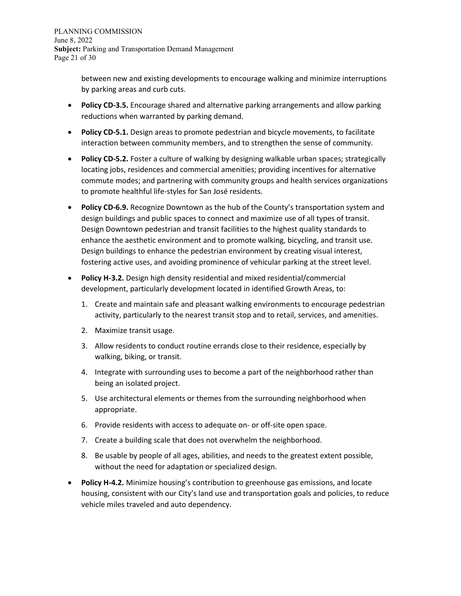between new and existing developments to encourage walking and minimize interruptions by parking areas and curb cuts.

- **Policy CD-3.5.** Encourage shared and alternative parking arrangements and allow parking reductions when warranted by parking demand.
- **Policy CD-5.1.** Design areas to promote pedestrian and bicycle movements, to facilitate interaction between community members, and to strengthen the sense of community.
- **Policy CD-5.2.** Foster a culture of walking by designing walkable urban spaces; strategically locating jobs, residences and commercial amenities; providing incentives for alternative commute modes; and partnering with community groups and health services organizations to promote healthful life-styles for San José residents.
- **Policy CD-6.9.** Recognize Downtown as the hub of the County's transportation system and design buildings and public spaces to connect and maximize use of all types of transit. Design Downtown pedestrian and transit facilities to the highest quality standards to enhance the aesthetic environment and to promote walking, bicycling, and transit use. Design buildings to enhance the pedestrian environment by creating visual interest, fostering active uses, and avoiding prominence of vehicular parking at the street level.
- **Policy H-3.2.** Design high density residential and mixed residential/commercial development, particularly development located in identified Growth Areas, to:
	- 1. Create and maintain safe and pleasant walking environments to encourage pedestrian activity, particularly to the nearest transit stop and to retail, services, and amenities.
	- 2. Maximize transit usage.
	- 3. Allow residents to conduct routine errands close to their residence, especially by walking, biking, or transit.
	- 4. Integrate with surrounding uses to become a part of the neighborhood rather than being an isolated project.
	- 5. Use architectural elements or themes from the surrounding neighborhood when appropriate.
	- 6. Provide residents with access to adequate on- or off-site open space.
	- 7. Create a building scale that does not overwhelm the neighborhood.
	- 8. Be usable by people of all ages, abilities, and needs to the greatest extent possible, without the need for adaptation or specialized design.
- **Policy H-4.2.** Minimize housing's contribution to greenhouse gas emissions, and locate housing, consistent with our City's land use and transportation goals and policies, to reduce vehicle miles traveled and auto dependency.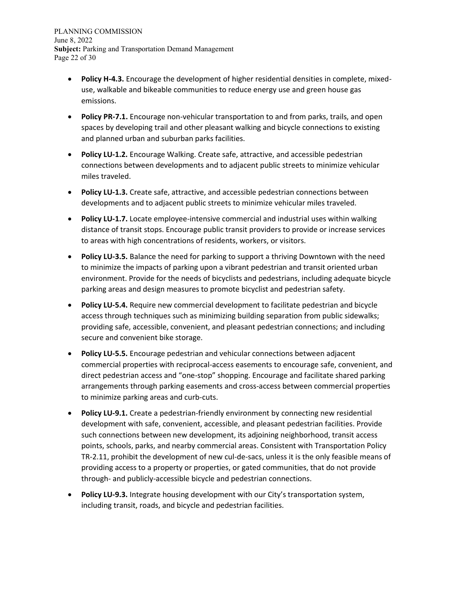PLANNING COMMISSION June 8, 2022 **Subject:** Parking and Transportation Demand Management Page 22 of 30

- **Policy H-4.3.** Encourage the development of higher residential densities in complete, mixeduse, walkable and bikeable communities to reduce energy use and green house gas emissions.
- **Policy PR-7.1.** Encourage non-vehicular transportation to and from parks, trails, and open spaces by developing trail and other pleasant walking and bicycle connections to existing and planned urban and suburban parks facilities.
- **Policy LU-1.2.** Encourage Walking. Create safe, attractive, and accessible pedestrian connections between developments and to adjacent public streets to minimize vehicular miles traveled.
- **Policy LU-1.3.** Create safe, attractive, and accessible pedestrian connections between developments and to adjacent public streets to minimize vehicular miles traveled.
- **Policy LU-1.7.** Locate employee-intensive commercial and industrial uses within walking distance of transit stops. Encourage public transit providers to provide or increase services to areas with high concentrations of residents, workers, or visitors.
- **Policy LU-3.5.** Balance the need for parking to support a thriving Downtown with the need to minimize the impacts of parking upon a vibrant pedestrian and transit oriented urban environment. Provide for the needs of bicyclists and pedestrians, including adequate bicycle parking areas and design measures to promote bicyclist and pedestrian safety.
- **Policy LU-5.4.** Require new commercial development to facilitate pedestrian and bicycle access through techniques such as minimizing building separation from public sidewalks; providing safe, accessible, convenient, and pleasant pedestrian connections; and including secure and convenient bike storage.
- **Policy LU-5.5.** Encourage pedestrian and vehicular connections between adjacent commercial properties with reciprocal-access easements to encourage safe, convenient, and direct pedestrian access and "one-stop" shopping. Encourage and facilitate shared parking arrangements through parking easements and cross-access between commercial properties to minimize parking areas and curb-cuts.
- **Policy LU-9.1.** Create a pedestrian-friendly environment by connecting new residential development with safe, convenient, accessible, and pleasant pedestrian facilities. Provide such connections between new development, its adjoining neighborhood, transit access points, schools, parks, and nearby commercial areas. Consistent with Transportation Policy TR-2.11, prohibit the development of new cul-de-sacs, unless it is the only feasible means of providing access to a property or properties, or gated communities, that do not provide through- and publicly-accessible bicycle and pedestrian connections.
- **Policy LU-9.3.** Integrate housing development with our City's transportation system, including transit, roads, and bicycle and pedestrian facilities.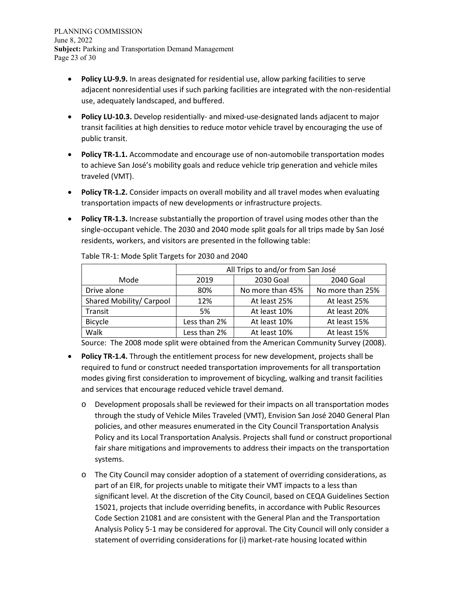PLANNING COMMISSION June 8, 2022 **Subject:** Parking and Transportation Demand Management Page 23 of 30

- **Policy LU-9.9.** In areas designated for residential use, allow parking facilities to serve adjacent nonresidential uses if such parking facilities are integrated with the non-residential use, adequately landscaped, and buffered.
- **Policy LU-10.3.** Develop residentially- and mixed-use-designated lands adjacent to major transit facilities at high densities to reduce motor vehicle travel by encouraging the use of public transit.
- **Policy TR-1.1.** Accommodate and encourage use of non-automobile transportation modes to achieve San José's mobility goals and reduce vehicle trip generation and vehicle miles traveled (VMT).
- **Policy TR-1.2.** Consider impacts on overall mobility and all travel modes when evaluating transportation impacts of new developments or infrastructure projects.
- **Policy TR-1.3.** Increase substantially the proportion of travel using modes other than the single-occupant vehicle. The 2030 and 2040 mode split goals for all trips made by San José residents, workers, and visitors are presented in the following table:

|                          | All Trips to and/or from San José |                  |                  |
|--------------------------|-----------------------------------|------------------|------------------|
| Mode                     | 2019                              | 2030 Goal        | 2040 Goal        |
| Drive alone              | 80%                               | No more than 45% | No more than 25% |
| Shared Mobility/ Carpool | 12%                               | At least 25%     | At least 25%     |
| Transit                  | 5%                                | At least 10%     | At least 20%     |
| <b>Bicycle</b>           | Less than 2%                      | At least 10%     | At least 15%     |
| Walk                     | Less than 2%                      | At least 10%     | At least 15%     |

Table TR-1: Mode Split Targets for 2030 and 2040

Source: The 2008 mode split were obtained from the American Community Survey (2008).

- **Policy TR-1.4.** Through the entitlement process for new development, projects shall be required to fund or construct needed transportation improvements for all transportation modes giving first consideration to improvement of bicycling, walking and transit facilities and services that encourage reduced vehicle travel demand.
	- o Development proposals shall be reviewed for their impacts on all transportation modes through the study of Vehicle Miles Traveled (VMT), Envision San José 2040 General Plan policies, and other measures enumerated in the City Council Transportation Analysis Policy and its Local Transportation Analysis. Projects shall fund or construct proportional fair share mitigations and improvements to address their impacts on the transportation systems.
	- o The City Council may consider adoption of a statement of overriding considerations, as part of an EIR, for projects unable to mitigate their VMT impacts to a less than significant level. At the discretion of the City Council, based on CEQA Guidelines Section 15021, projects that include overriding benefits, in accordance with Public Resources Code Section 21081 and are consistent with the General Plan and the Transportation Analysis Policy 5-1 may be considered for approval. The City Council will only consider a statement of overriding considerations for (i) market-rate housing located within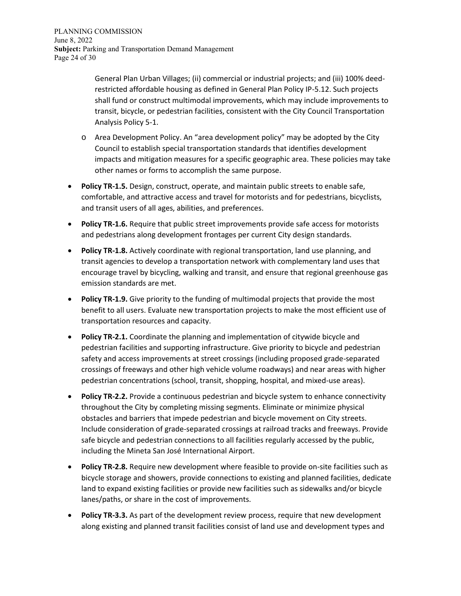General Plan Urban Villages; (ii) commercial or industrial projects; and (iii) 100% deedrestricted affordable housing as defined in General Plan Policy IP-5.12. Such projects shall fund or construct multimodal improvements, which may include improvements to transit, bicycle, or pedestrian facilities, consistent with the City Council Transportation Analysis Policy 5-1.

- o Area Development Policy. An "area development policy" may be adopted by the City Council to establish special transportation standards that identifies development impacts and mitigation measures for a specific geographic area. These policies may take other names or forms to accomplish the same purpose.
- **Policy TR-1.5.** Design, construct, operate, and maintain public streets to enable safe, comfortable, and attractive access and travel for motorists and for pedestrians, bicyclists, and transit users of all ages, abilities, and preferences.
- **Policy TR-1.6.** Require that public street improvements provide safe access for motorists and pedestrians along development frontages per current City design standards.
- **Policy TR-1.8.** Actively coordinate with regional transportation, land use planning, and transit agencies to develop a transportation network with complementary land uses that encourage travel by bicycling, walking and transit, and ensure that regional greenhouse gas emission standards are met.
- **Policy TR-1.9.** Give priority to the funding of multimodal projects that provide the most benefit to all users. Evaluate new transportation projects to make the most efficient use of transportation resources and capacity.
- **Policy TR-2.1.** Coordinate the planning and implementation of citywide bicycle and pedestrian facilities and supporting infrastructure. Give priority to bicycle and pedestrian safety and access improvements at street crossings (including proposed grade-separated crossings of freeways and other high vehicle volume roadways) and near areas with higher pedestrian concentrations (school, transit, shopping, hospital, and mixed-use areas).
- **Policy TR-2.2.** Provide a continuous pedestrian and bicycle system to enhance connectivity throughout the City by completing missing segments. Eliminate or minimize physical obstacles and barriers that impede pedestrian and bicycle movement on City streets. Include consideration of grade-separated crossings at railroad tracks and freeways. Provide safe bicycle and pedestrian connections to all facilities regularly accessed by the public, including the Mineta San José International Airport.
- **Policy TR-2.8.** Require new development where feasible to provide on-site facilities such as bicycle storage and showers, provide connections to existing and planned facilities, dedicate land to expand existing facilities or provide new facilities such as sidewalks and/or bicycle lanes/paths, or share in the cost of improvements.
- **Policy TR-3.3.** As part of the development review process, require that new development along existing and planned transit facilities consist of land use and development types and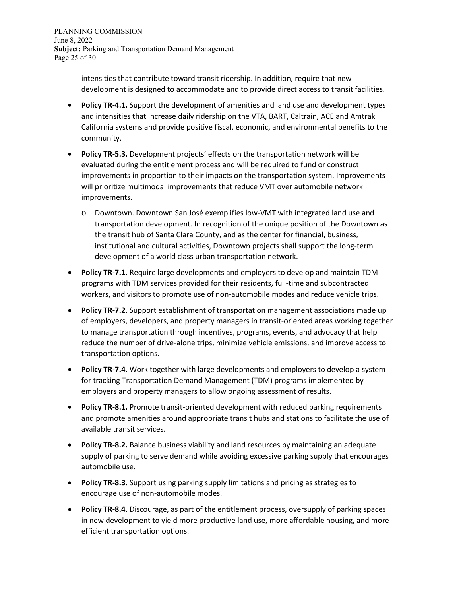intensities that contribute toward transit ridership. In addition, require that new development is designed to accommodate and to provide direct access to transit facilities.

- **Policy TR-4.1.** Support the development of amenities and land use and development types and intensities that increase daily ridership on the VTA, BART, Caltrain, ACE and Amtrak California systems and provide positive fiscal, economic, and environmental benefits to the community.
- **Policy TR-5.3.** Development projects' effects on the transportation network will be evaluated during the entitlement process and will be required to fund or construct improvements in proportion to their impacts on the transportation system. Improvements will prioritize multimodal improvements that reduce VMT over automobile network improvements.
	- o Downtown. Downtown San José exemplifies low-VMT with integrated land use and transportation development. In recognition of the unique position of the Downtown as the transit hub of Santa Clara County, and as the center for financial, business, institutional and cultural activities, Downtown projects shall support the long-term development of a world class urban transportation network.
- **Policy TR-7.1.** Require large developments and employers to develop and maintain TDM programs with TDM services provided for their residents, full-time and subcontracted workers, and visitors to promote use of non-automobile modes and reduce vehicle trips.
- **Policy TR-7.2.** Support establishment of transportation management associations made up of employers, developers, and property managers in transit-oriented areas working together to manage transportation through incentives, programs, events, and advocacy that help reduce the number of drive-alone trips, minimize vehicle emissions, and improve access to transportation options.
- **Policy TR-7.4.** Work together with large developments and employers to develop a system for tracking Transportation Demand Management (TDM) programs implemented by employers and property managers to allow ongoing assessment of results.
- **Policy TR-8.1.** Promote transit-oriented development with reduced parking requirements and promote amenities around appropriate transit hubs and stations to facilitate the use of available transit services.
- **Policy TR-8.2.** Balance business viability and land resources by maintaining an adequate supply of parking to serve demand while avoiding excessive parking supply that encourages automobile use.
- **Policy TR-8.3.** Support using parking supply limitations and pricing as strategies to encourage use of non-automobile modes.
- **Policy TR-8.4.** Discourage, as part of the entitlement process, oversupply of parking spaces in new development to yield more productive land use, more affordable housing, and more efficient transportation options.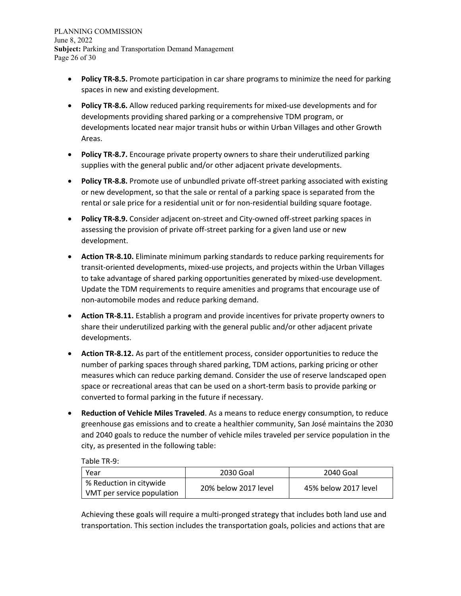PLANNING COMMISSION June 8, 2022 **Subject:** Parking and Transportation Demand Management Page 26 of 30

- **Policy TR-8.5.** Promote participation in car share programs to minimize the need for parking spaces in new and existing development.
- **Policy TR-8.6.** Allow reduced parking requirements for mixed-use developments and for developments providing shared parking or a comprehensive TDM program, or developments located near major transit hubs or within Urban Villages and other Growth Areas.
- **Policy TR-8.7.** Encourage private property owners to share their underutilized parking supplies with the general public and/or other adjacent private developments.
- **Policy TR-8.8.** Promote use of unbundled private off-street parking associated with existing or new development, so that the sale or rental of a parking space is separated from the rental or sale price for a residential unit or for non-residential building square footage.
- **Policy TR-8.9.** Consider adjacent on-street and City-owned off-street parking spaces in assessing the provision of private off-street parking for a given land use or new development.
- **Action TR-8.10.** Eliminate minimum parking standards to reduce parking requirements for transit-oriented developments, mixed-use projects, and projects within the Urban Villages to take advantage of shared parking opportunities generated by mixed-use development. Update the TDM requirements to require amenities and programs that encourage use of non-automobile modes and reduce parking demand.
- **Action TR-8.11.** Establish a program and provide incentives for private property owners to share their underutilized parking with the general public and/or other adjacent private developments.
- **Action TR-8.12.** As part of the entitlement process, consider opportunities to reduce the number of parking spaces through shared parking, TDM actions, parking pricing or other measures which can reduce parking demand. Consider the use of reserve landscaped open space or recreational areas that can be used on a short-term basis to provide parking or converted to formal parking in the future if necessary.
- **Reduction of Vehicle Miles Traveled**. As a means to reduce energy consumption, to reduce greenhouse gas emissions and to create a healthier community, San José maintains the 2030 and 2040 goals to reduce the number of vehicle miles traveled per service population in the city, as presented in the following table:

Table TR-9:

| Year                                                  | 2030 Goal            | 2040 Goal            |
|-------------------------------------------------------|----------------------|----------------------|
| % Reduction in citywide<br>VMT per service population | 20% below 2017 level | 45% below 2017 level |

Achieving these goals will require a multi-pronged strategy that includes both land use and transportation. This section includes the transportation goals, policies and actions that are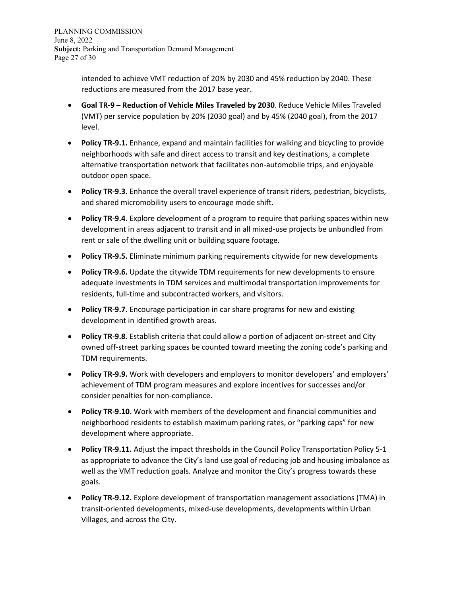intended to achieve VMT reduction of 20% by 2030 and 45% reduction by 2040. These reductions are measured from the 2017 base year.

- **Goal TR-9 – Reduction of Vehicle Miles Traveled by 2030**. Reduce Vehicle Miles Traveled (VMT) per service population by 20% (2030 goal) and by 45% (2040 goal), from the 2017 level.
- **Policy TR-9.1.** Enhance, expand and maintain facilities for walking and bicycling to provide neighborhoods with safe and direct access to transit and key destinations, a complete alternative transportation network that facilitates non-automobile trips, and enjoyable outdoor open space.
- **Policy TR-9.3.** Enhance the overall travel experience of transit riders, pedestrian, bicyclists, and shared micromobility users to encourage mode shift.
- **Policy TR-9.4.** Explore development of a program to require that parking spaces within new development in areas adjacent to transit and in all mixed-use projects be unbundled from rent or sale of the dwelling unit or building square footage.
- **Policy TR-9.5.** Eliminate minimum parking requirements citywide for new developments
- **Policy TR-9.6.** Update the citywide TDM requirements for new developments to ensure adequate investments in TDM services and multimodal transportation improvements for residents, full-time and subcontracted workers, and visitors.
- **Policy TR-9.7.** Encourage participation in car share programs for new and existing development in identified growth areas.
- **Policy TR-9.8.** Establish criteria that could allow a portion of adjacent on-street and City owned off-street parking spaces be counted toward meeting the zoning code's parking and TDM requirements.
- **Policy TR-9.9.** Work with developers and employers to monitor developers' and employers' achievement of TDM program measures and explore incentives for successes and/or consider penalties for non-compliance.
- **Policy TR-9.10.** Work with members of the development and financial communities and neighborhood residents to establish maximum parking rates, or "parking caps" for new development where appropriate.
- **Policy TR-9.11.** Adjust the impact thresholds in the Council Policy Transportation Policy 5-1 as appropriate to advance the City's land use goal of reducing job and housing imbalance as well as the VMT reduction goals. Analyze and monitor the City's progress towards these goals.
- **Policy TR-9.12.** Explore development of transportation management associations (TMA) in transit-oriented developments, mixed-use developments, developments within Urban Villages, and across the City.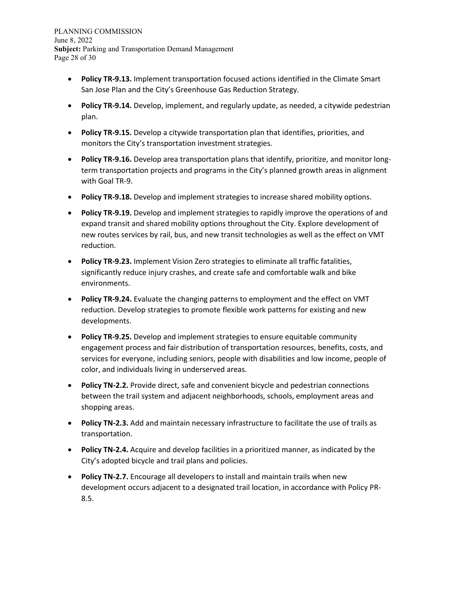PLANNING COMMISSION June 8, 2022 **Subject:** Parking and Transportation Demand Management Page 28 of 30

- **Policy TR-9.13.** Implement transportation focused actions identified in the Climate Smart San Jose Plan and the City's Greenhouse Gas Reduction Strategy.
- **Policy TR-9.14.** Develop, implement, and regularly update, as needed, a citywide pedestrian plan.
- **Policy TR-9.15.** Develop a citywide transportation plan that identifies, priorities, and monitors the City's transportation investment strategies.
- **Policy TR-9.16.** Develop area transportation plans that identify, prioritize, and monitor longterm transportation projects and programs in the City's planned growth areas in alignment with Goal TR-9.
- **Policy TR-9.18.** Develop and implement strategies to increase shared mobility options.
- **Policy TR-9.19.** Develop and implement strategies to rapidly improve the operations of and expand transit and shared mobility options throughout the City. Explore development of new routes services by rail, bus, and new transit technologies as well as the effect on VMT reduction.
- **Policy TR-9.23.** Implement Vision Zero strategies to eliminate all traffic fatalities, significantly reduce injury crashes, and create safe and comfortable walk and bike environments.
- **Policy TR-9.24.** Evaluate the changing patterns to employment and the effect on VMT reduction. Develop strategies to promote flexible work patterns for existing and new developments.
- **Policy TR-9.25.** Develop and implement strategies to ensure equitable community engagement process and fair distribution of transportation resources, benefits, costs, and services for everyone, including seniors, people with disabilities and low income, people of color, and individuals living in underserved areas.
- **Policy TN-2.2.** Provide direct, safe and convenient bicycle and pedestrian connections between the trail system and adjacent neighborhoods, schools, employment areas and shopping areas.
- **Policy TN-2.3.** Add and maintain necessary infrastructure to facilitate the use of trails as transportation.
- **Policy TN-2.4.** Acquire and develop facilities in a prioritized manner, as indicated by the City's adopted bicycle and trail plans and policies.
- **Policy TN-2.7.** Encourage all developers to install and maintain trails when new development occurs adjacent to a designated trail location, in accordance with Policy PR-8.5.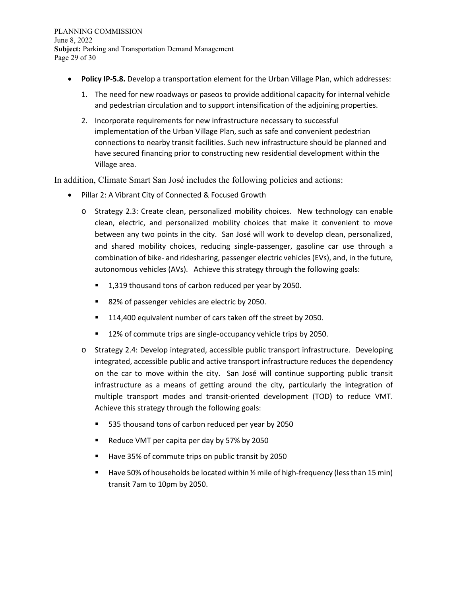- **Policy IP-5.8.** Develop a transportation element for the Urban Village Plan, which addresses:
	- 1. The need for new roadways or paseos to provide additional capacity for internal vehicle and pedestrian circulation and to support intensification of the adjoining properties.
	- 2. Incorporate requirements for new infrastructure necessary to successful implementation of the Urban Village Plan, such as safe and convenient pedestrian connections to nearby transit facilities. Such new infrastructure should be planned and have secured financing prior to constructing new residential development within the Village area.

In addition, Climate Smart San José includes the following policies and actions:

- Pillar 2: A Vibrant City of Connected & Focused Growth
	- o Strategy 2.3: Create clean, personalized mobility choices. New technology can enable clean, electric, and personalized mobility choices that make it convenient to move between any two points in the city. San José will work to develop clean, personalized, and shared mobility choices, reducing single-passenger, gasoline car use through a combination of bike- and ridesharing, passenger electric vehicles (EVs), and, in the future, autonomous vehicles (AVs). Achieve this strategy through the following goals:
		- 1,319 thousand tons of carbon reduced per year by 2050.
		- 82% of passenger vehicles are electric by 2050.
		- 114,400 equivalent number of cars taken off the street by 2050.
		- 12% of commute trips are single-occupancy vehicle trips by 2050.
	- o Strategy 2.4: Develop integrated, accessible public transport infrastructure. Developing integrated, accessible public and active transport infrastructure reduces the dependency on the car to move within the city. San José will continue supporting public transit infrastructure as a means of getting around the city, particularly the integration of multiple transport modes and transit-oriented development (TOD) to reduce VMT. Achieve this strategy through the following goals:
		- 535 thousand tons of carbon reduced per year by 2050
		- Reduce VMT per capita per day by 57% by 2050
		- Have 35% of commute trips on public transit by 2050
		- **E** Have 50% of households be located within  $\frac{1}{2}$  mile of high-frequency (less than 15 min) transit 7am to 10pm by 2050.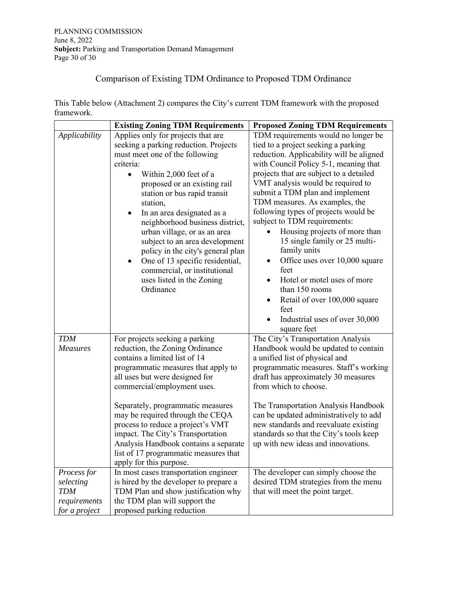#### Comparison of Existing TDM Ordinance to Proposed TDM Ordinance

This Table below (Attachment 2) compares the City's current TDM framework with the proposed framework.

|                                                                         | <b>Existing Zoning TDM Requirements</b>                                                                                                                                                                                                                                                                                                                                                                                                                                                   | <b>Proposed Zoning TDM Requirements</b>                                                                                                                                                                                                                                                                                                                                                                                                                                                                                                                                                               |
|-------------------------------------------------------------------------|-------------------------------------------------------------------------------------------------------------------------------------------------------------------------------------------------------------------------------------------------------------------------------------------------------------------------------------------------------------------------------------------------------------------------------------------------------------------------------------------|-------------------------------------------------------------------------------------------------------------------------------------------------------------------------------------------------------------------------------------------------------------------------------------------------------------------------------------------------------------------------------------------------------------------------------------------------------------------------------------------------------------------------------------------------------------------------------------------------------|
| Applicability                                                           | Applies only for projects that are                                                                                                                                                                                                                                                                                                                                                                                                                                                        | TDM requirements would no longer be                                                                                                                                                                                                                                                                                                                                                                                                                                                                                                                                                                   |
|                                                                         | seeking a parking reduction. Projects<br>must meet one of the following<br>criteria:<br>Within 2,000 feet of a<br>proposed or an existing rail<br>station or bus rapid transit<br>station,<br>In an area designated as a<br>٠<br>neighborhood business district,<br>urban village, or as an area<br>subject to an area development<br>policy in the city's general plan<br>One of 13 specific residential,<br>٠<br>commercial, or institutional<br>uses listed in the Zoning<br>Ordinance | tied to a project seeking a parking<br>reduction. Applicability will be aligned<br>with Council Policy 5-1, meaning that<br>projects that are subject to a detailed<br>VMT analysis would be required to<br>submit a TDM plan and implement<br>TDM measures. As examples, the<br>following types of projects would be<br>subject to TDM requirements:<br>Housing projects of more than<br>15 single family or 25 multi-<br>family units<br>Office uses over 10,000 square<br>$\bullet$<br>feet<br>Hotel or motel uses of more<br>than 150 rooms<br>Retail of over 100,000 square<br>$\bullet$<br>feet |
| <b>TDM</b><br><b>Measures</b>                                           | For projects seeking a parking<br>reduction, the Zoning Ordinance<br>contains a limited list of 14<br>programmatic measures that apply to<br>all uses but were designed for<br>commercial/employment uses.<br>Separately, programmatic measures<br>may be required through the CEQA<br>process to reduce a project's VMT<br>impact. The City's Transportation<br>Analysis Handbook contains a separate                                                                                    | Industrial uses of over 30,000<br>$\bullet$<br>square feet<br>The City's Transportation Analysis<br>Handbook would be updated to contain<br>a unified list of physical and<br>programmatic measures. Staff's working<br>draft has approximately 30 measures<br>from which to choose.<br>The Transportation Analysis Handbook<br>can be updated administratively to add<br>new standards and reevaluate existing<br>standards so that the City's tools keep<br>up with new ideas and innovations.                                                                                                      |
|                                                                         | list of 17 programmatic measures that<br>apply for this purpose.                                                                                                                                                                                                                                                                                                                                                                                                                          |                                                                                                                                                                                                                                                                                                                                                                                                                                                                                                                                                                                                       |
| Process for<br>selecting<br><b>TDM</b><br>requirements<br>for a project | In most cases transportation engineer<br>is hired by the developer to prepare a<br>TDM Plan and show justification why<br>the TDM plan will support the<br>proposed parking reduction                                                                                                                                                                                                                                                                                                     | The developer can simply choose the<br>desired TDM strategies from the menu<br>that will meet the point target.                                                                                                                                                                                                                                                                                                                                                                                                                                                                                       |